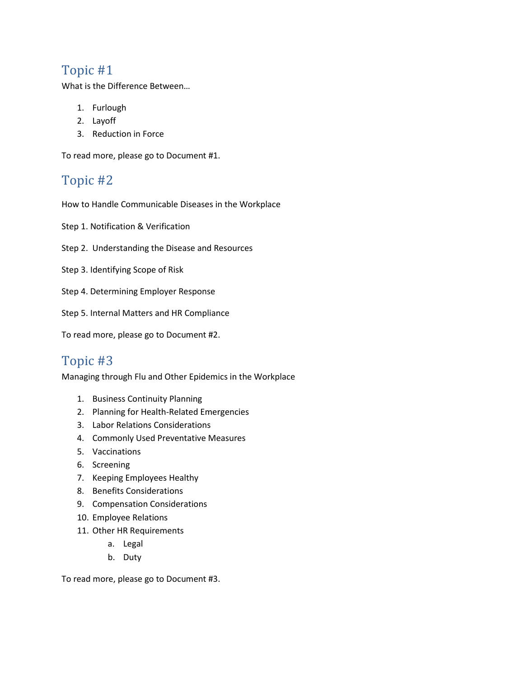## Topic #1

What is the Difference Between...

- 1. Furlough
- 2. Layoff
- 3. Reduction in Force

To read more, please go to Document #1.

# Topic #2

How to Handle Communicable Diseases in the Workplace

Step 1. Notification & Verification

- Step 2. Understanding the Disease and Resources
- Step 3. Identifying Scope of Risk
- Step 4. Determining Employer Response
- Step 5. Internal Matters and HR Compliance

To read more, please go to Document #2.

# Topic #3

Managing through Flu and Other Epidemics in the Workplace

- 1. Business Continuity Planning
- 2. Planning for Health-Related Emergencies
- 3. Labor Relations Considerations
- 4. Commonly Used Preventative Measures
- 5. Vaccinations
- 6. Screening
- 7. Keeping Employees Healthy
- 8. Benefits Considerations
- 9. Compensation Considerations
- 10. Employee Relations
- 11. Other HR Requirements
	- a. Legal
	- b. Duty

To read more, please go to Document #3.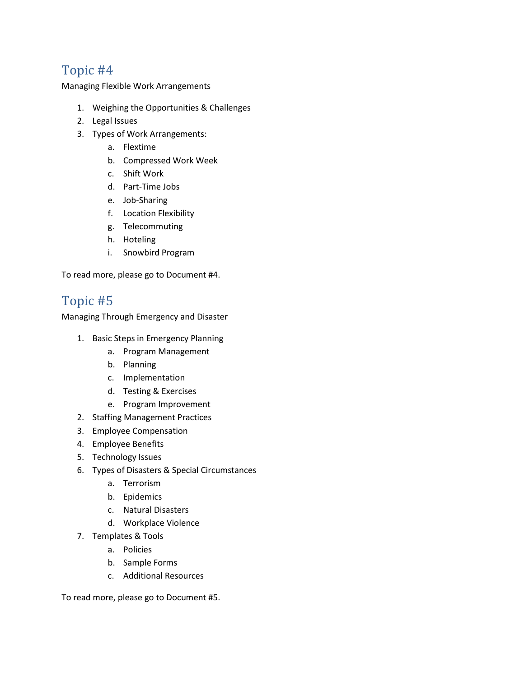# Topic #4

Managing Flexible Work Arrangements

- 1. Weighing the Opportunities & Challenges
- 2. Legal Issues
- 3. Types of Work Arrangements:
	- a. Flextime
	- b. Compressed Work Week
	- c. Shift Work
	- d. Part-Time Jobs
	- e. Job-Sharing
	- f. Location Flexibility
	- g. Telecommuting
	- h. Hoteling
	- i. Snowbird Program

To read more, please go to Document #4.

### Topic #5

Managing Through Emergency and Disaster

- 1. Basic Steps in Emergency Planning
	- a. Program Management
	- b. Planning
	- c. Implementation
	- d. Testing & Exercises
	- e. Program Improvement
- 2. Staffing Management Practices
- 3. Employee Compensation
- 4. Employee Benefits
- 5. Technology Issues
- 6. Types of Disasters & Special Circumstances
	- a. Terrorism
	- b. Epidemics
	- c. Natural Disasters
	- d. Workplace Violence
- 7. Templates & Tools
	- a. Policies
	- b. Sample Forms
	- c. Additional Resources

To read more, please go to Document #5.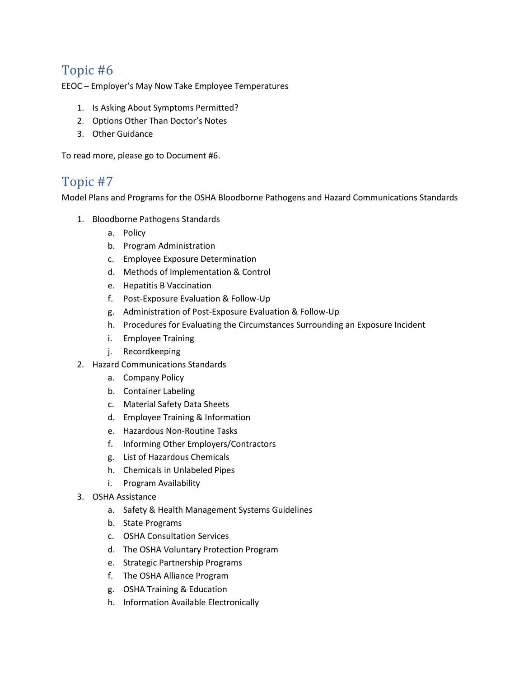## Topic #6

EEOC – Employer's May Now Take Employee Temperatures

- 1. Is Asking About Symptoms Permitted?
- 2. Options Other Than Doctor's Notes
- 3. Other Guidance

To read more, please go to Document #6.

#### Topic #7

Model Plans and Programs for the OSHA Bloodborne Pathogens and Hazard Communications Standards

- 1. Bloodborne Pathogens Standards
	- a. Policy
	- b. Program Administration
	- c. Employee Exposure Determination
	- d. Methods of Implementation & Control
	- e. Hepatitis B Vaccination
	- f. Post-Exposure Evaluation & Follow-Up
	- g. Administration of Post-Exposure Evaluation & Follow-Up
	- h. Procedures for Evaluating the Circumstances Surrounding an Exposure Incident
	- i. Employee Training
	- j. Recordkeeping
- 2. Hazard Communications Standards
	- a. Company Policy
	- b. Container Labeling
	- c. Material Safety Data Sheets
	- d. Employee Training & Information
	- e. Hazardous Non-Routine Tasks
	- f. Informing Other Employers/Contractors
	- g. List of Hazardous Chemicals
	- h. Chemicals in Unlabeled Pipes
	- i. Program Availability
- 3. OSHA Assistance
	- a. Safety & Health Management Systems Guidelines
	- b. State Programs
	- c. OSHA Consultation Services
	- d. The OSHA Voluntary Protection Program
	- e. Strategic Partnership Programs
	- f. The OSHA Alliance Program
	- g. OSHA Training & Education
	- h. Information Available Electronically